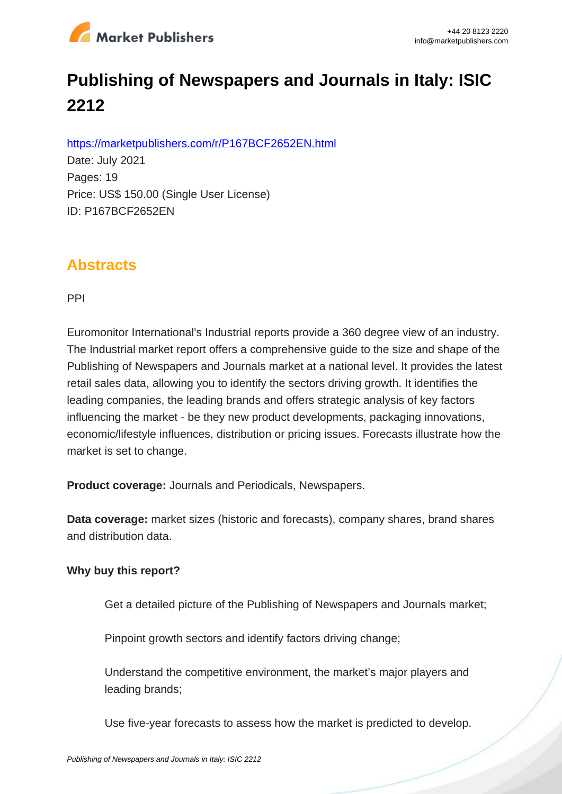

# **Publishing of Newspapers and Journals in Italy: ISIC 2212**

https://marketpublishers.com/r/P167BCF2652EN.html

Date: July 2021 Pages: 19 Price: US\$ 150.00 (Single User License) ID: P167BCF2652EN

## **Abstracts**

PPI

Euromonitor International's Industrial reports provide a 360 degree view of an industry. The Industrial market report offers a comprehensive guide to the size and shape of the Publishing of Newspapers and Journals market at a national level. It provides the latest retail sales data, allowing you to identify the sectors driving growth. It identifies the leading companies, the leading brands and offers strategic analysis of key factors influencing the market - be they new product developments, packaging innovations, economic/lifestyle influences, distribution or pricing issues. Forecasts illustrate how the market is set to change.

**Product coverage:** Journals and Periodicals, Newspapers.

**Data coverage:** market sizes (historic and forecasts), company shares, brand shares and distribution data.

#### **Why buy this report?**

Get a detailed picture of the Publishing of Newspapers and Journals market;

Pinpoint growth sectors and identify factors driving change;

Understand the competitive environment, the market's major players and leading brands;

Use five-year forecasts to assess how the market is predicted to develop.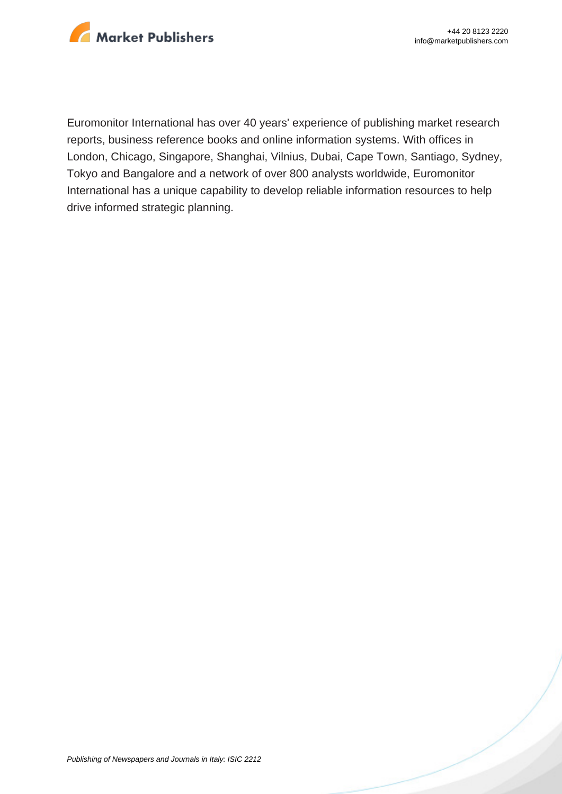

Euromonitor International has over 40 years' experience of publishing market research reports, business reference books and online information systems. With offices in London, Chicago, Singapore, Shanghai, Vilnius, Dubai, Cape Town, Santiago, Sydney, Tokyo and Bangalore and a network of over 800 analysts worldwide, Euromonitor International has a unique capability to develop reliable information resources to help drive informed strategic planning.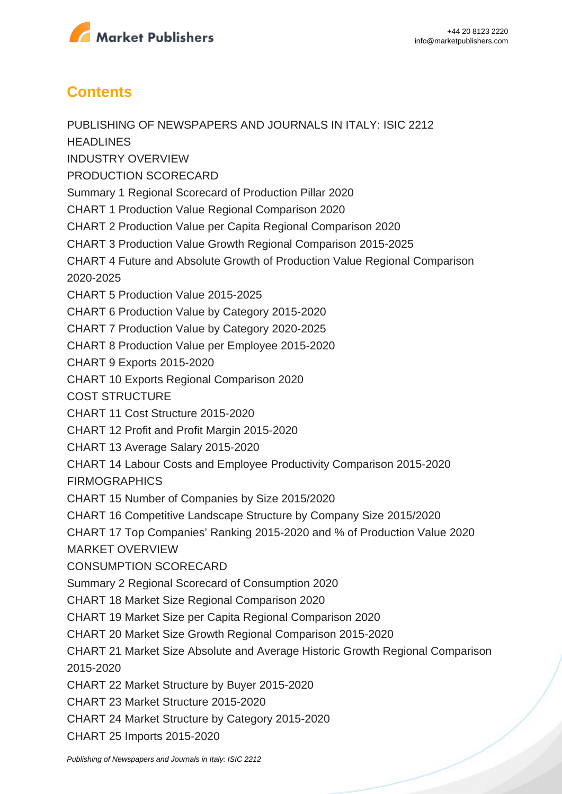

## **Contents**

PUBLISHING OF NEWSPAPERS AND JOURNALS IN ITALY: ISIC 2212 **HEADLINES** INDUSTRY OVERVIEW PRODUCTION SCORECARD Summary 1 Regional Scorecard of Production Pillar 2020 CHART 1 Production Value Regional Comparison 2020 CHART 2 Production Value per Capita Regional Comparison 2020 CHART 3 Production Value Growth Regional Comparison 2015-2025 CHART 4 Future and Absolute Growth of Production Value Regional Comparison 2020-2025 CHART 5 Production Value 2015-2025 CHART 6 Production Value by Category 2015-2020 CHART 7 Production Value by Category 2020-2025 CHART 8 Production Value per Employee 2015-2020 CHART 9 Exports 2015-2020 CHART 10 Exports Regional Comparison 2020 COST STRUCTURE CHART 11 Cost Structure 2015-2020 CHART 12 Profit and Profit Margin 2015-2020 CHART 13 Average Salary 2015-2020 CHART 14 Labour Costs and Employee Productivity Comparison 2015-2020 FIRMOGRAPHICS CHART 15 Number of Companies by Size 2015/2020 CHART 16 Competitive Landscape Structure by Company Size 2015/2020 CHART 17 Top Companies' Ranking 2015-2020 and % of Production Value 2020 MARKET OVERVIEW CONSUMPTION SCORECARD Summary 2 Regional Scorecard of Consumption 2020 CHART 18 Market Size Regional Comparison 2020 CHART 19 Market Size per Capita Regional Comparison 2020 CHART 20 Market Size Growth Regional Comparison 2015-2020 CHART 21 Market Size Absolute and Average Historic Growth Regional Comparison 2015-2020 CHART 22 Market Structure by Buyer 2015-2020 CHART 23 Market Structure 2015-2020 CHART 24 Market Structure by Category 2015-2020 CHART 25 Imports 2015-2020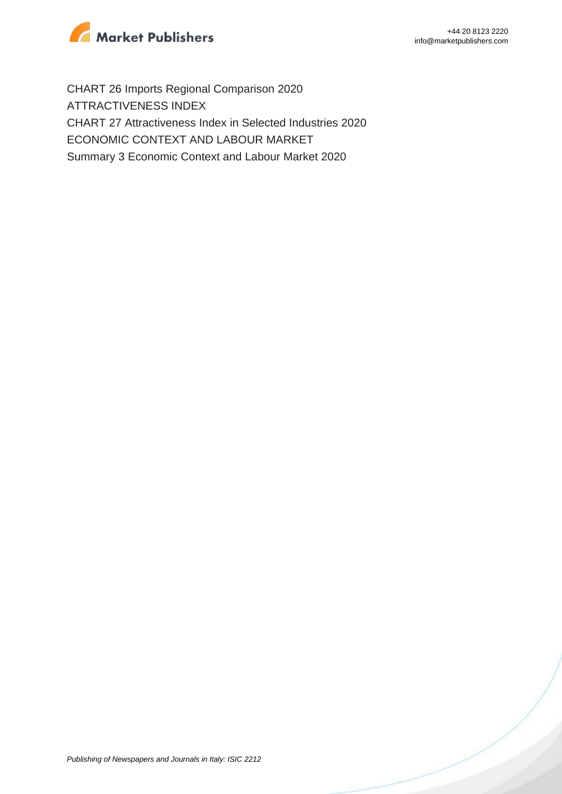

CHART 26 Imports Regional Comparison 2020 ATTRACTIVENESS INDEX CHART 27 Attractiveness Index in Selected Industries 2020 ECONOMIC CONTEXT AND LABOUR MARKET Summary 3 Economic Context and Labour Market 2020